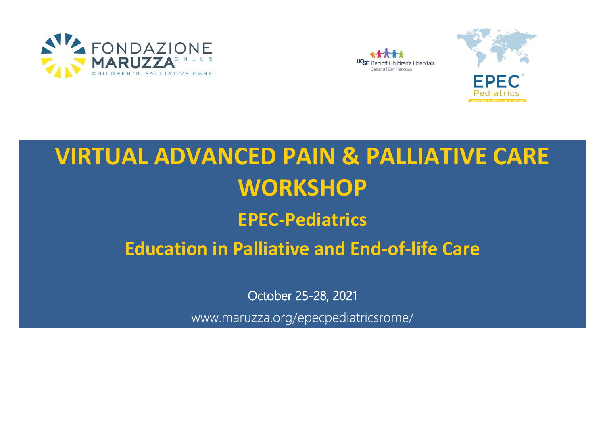





## **VIRTUAL ADVANCED PAIN & PALLIATIVE CARE WORKSHOP EPEC-Pediatrics Education in Palliative and End-of-life Care**

October 25-28, 2021

www.maruzza.org/epecpediatricsrome/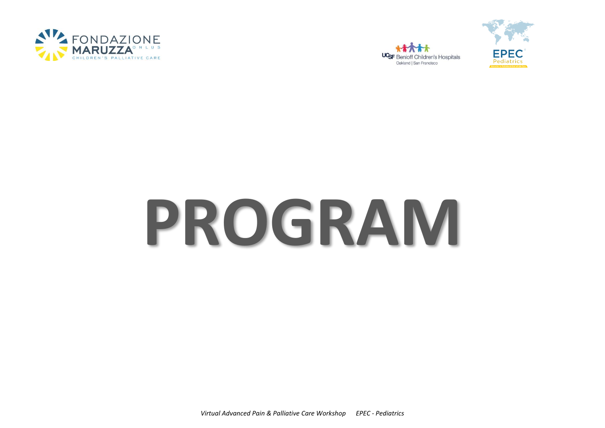





## **PROGRAM**

*Virtual Advanced Pain & Palliative Care Workshop EPEC - Pediatrics*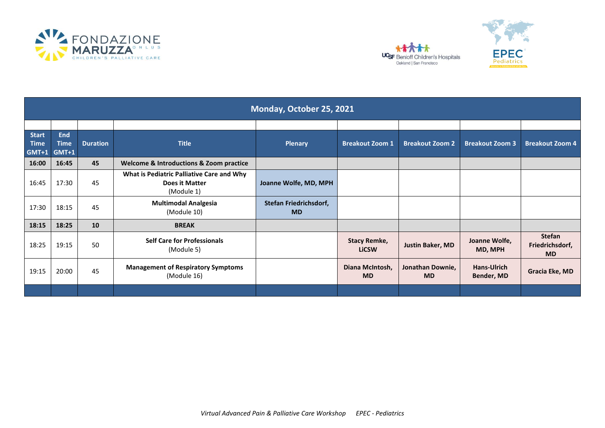





| Monday, October 25, 2021             |                                           |                 |                                                                                  |                                     |                                     |                               |                                  |                                               |
|--------------------------------------|-------------------------------------------|-----------------|----------------------------------------------------------------------------------|-------------------------------------|-------------------------------------|-------------------------------|----------------------------------|-----------------------------------------------|
| <b>Start</b><br><b>Time</b><br>GMT+1 | <b>End</b><br><b>Time</b><br><b>GMT+1</b> | <b>Duration</b> | <b>Title</b>                                                                     | <b>Plenary</b>                      | <b>Breakout Zoom 1</b>              | <b>Breakout Zoom 2</b>        | <b>Breakout Zoom 3</b>           | <b>Breakout Zoom 4</b>                        |
| 16:00                                | 16:45                                     | 45              | <b>Welcome &amp; Introductions &amp; Zoom practice</b>                           |                                     |                                     |                               |                                  |                                               |
| 16:45                                | 17:30                                     | 45              | What is Pediatric Palliative Care and Why<br><b>Does it Matter</b><br>(Module 1) | Joanne Wolfe, MD, MPH               |                                     |                               |                                  |                                               |
| 17:30                                | 18:15                                     | 45              | <b>Multimodal Analgesia</b><br>(Module 10)                                       | Stefan Friedrichsdorf,<br><b>MD</b> |                                     |                               |                                  |                                               |
| 18:15                                | 18:25                                     | 10              | <b>BREAK</b>                                                                     |                                     |                                     |                               |                                  |                                               |
| 18:25                                | 19:15                                     | 50              | <b>Self Care for Professionals</b><br>(Module 5)                                 |                                     | <b>Stacy Remke,</b><br><b>LiCSW</b> | <b>Justin Baker, MD</b>       | Joanne Wolfe,<br>MD, MPH         | <b>Stefan</b><br>Friedrichsdorf,<br><b>MD</b> |
| 19:15                                | 20:00                                     | 45              | <b>Management of Respiratory Symptoms</b><br>(Module 16)                         |                                     | Diana McIntosh,<br><b>MD</b>        | Jonathan Downie,<br><b>MD</b> | <b>Hans-Ulrich</b><br>Bender, MD | Gracia Eke, MD                                |
|                                      |                                           |                 |                                                                                  |                                     |                                     |                               |                                  |                                               |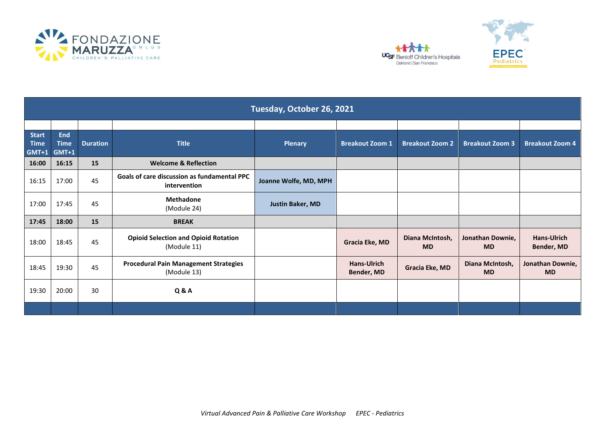





| Tuesday, October 26, 2021              |                                    |                 |                                                                    |                       |                                  |                              |                               |                                  |
|----------------------------------------|------------------------------------|-----------------|--------------------------------------------------------------------|-----------------------|----------------------------------|------------------------------|-------------------------------|----------------------------------|
| <b>Start</b><br><b>Time</b><br>$GMT+1$ | <b>End</b><br><b>Time</b><br>GMT+1 | <b>Duration</b> | <b>Title</b>                                                       | <b>Plenary</b>        | <b>Breakout Zoom 1</b>           | <b>Breakout Zoom 2</b>       | <b>Breakout Zoom 3</b>        | <b>Breakout Zoom 4</b>           |
| 16:00                                  | 16:15                              | 15              | <b>Welcome &amp; Reflection</b>                                    |                       |                                  |                              |                               |                                  |
| 16:15                                  | 17:00                              | 45              | <b>Goals of care discussion as fundamental PPC</b><br>intervention | Joanne Wolfe, MD, MPH |                                  |                              |                               |                                  |
| 17:00                                  | 17:45                              | 45              | <b>Methadone</b><br>(Module 24)                                    | Justin Baker, MD      |                                  |                              |                               |                                  |
| 17:45                                  | 18:00                              | 15              | <b>BREAK</b>                                                       |                       |                                  |                              |                               |                                  |
| 18:00                                  | 18:45                              | 45              | <b>Opioid Selection and Opioid Rotation</b><br>(Module 11)         |                       | Gracia Eke, MD                   | Diana McIntosh,<br><b>MD</b> | Jonathan Downie.<br><b>MD</b> | <b>Hans-Ulrich</b><br>Bender, MD |
| 18:45                                  | 19:30                              | 45              | <b>Procedural Pain Management Strategies</b><br>(Module 13)        |                       | <b>Hans-Ulrich</b><br>Bender, MD | Gracia Eke, MD               | Diana McIntosh,<br><b>MD</b>  | Jonathan Downie,<br><b>MD</b>    |
| 19:30                                  | 20:00                              | 30              | <b>Q&amp;A</b>                                                     |                       |                                  |                              |                               |                                  |
|                                        |                                    |                 |                                                                    |                       |                                  |                              |                               |                                  |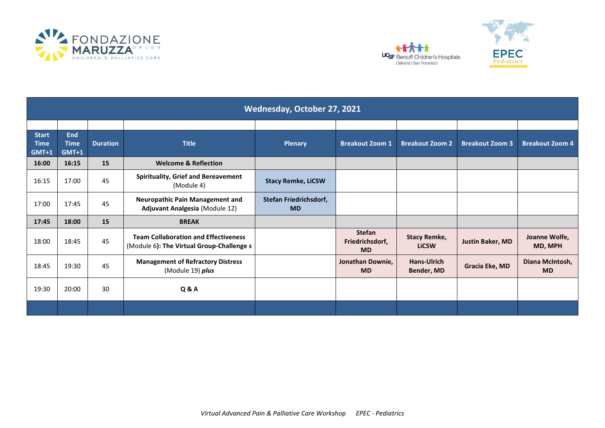





| Wednesday, October 27, 2021                 |                                      |                 |                                                                                          |                                     |                                               |                                     |                        |                              |
|---------------------------------------------|--------------------------------------|-----------------|------------------------------------------------------------------------------------------|-------------------------------------|-----------------------------------------------|-------------------------------------|------------------------|------------------------------|
| <b>Start</b><br><b>Time</b><br><b>GMT+1</b> | <b>End</b><br><b>Time</b><br>$GMT+1$ | <b>Duration</b> | <b>Title</b>                                                                             | <b>Plenary</b>                      | <b>Breakout Zoom 1</b>                        | <b>Breakout Zoom 2</b>              | <b>Breakout Zoom 3</b> | <b>Breakout Zoom 4</b>       |
| 16:00                                       | 16:15                                | 15              | <b>Welcome &amp; Reflection</b>                                                          |                                     |                                               |                                     |                        |                              |
| 16:15                                       | 17:00                                | 45              | <b>Spirituality, Grief and Bereavement</b><br>(Module 4)                                 | <b>Stacy Remke, LiCSW</b>           |                                               |                                     |                        |                              |
| 17:00                                       | 17:45                                | 45              | <b>Neuropathic Pain Management and</b><br><b>Adjuvant Analgesia (Module 12)</b>          | Stefan Friedrichsdorf,<br><b>MD</b> |                                               |                                     |                        |                              |
| 17:45                                       | 18:00                                | 15              | <b>BREAK</b>                                                                             |                                     |                                               |                                     |                        |                              |
| 18:00                                       | 18:45                                | 45              | <b>Team Collaboration and Effectiveness</b><br>(Module 6): The Virtual Group-Challenge s |                                     | <b>Stefan</b><br>Friedrichsdorf,<br><b>MD</b> | <b>Stacy Remke,</b><br><b>LiCSW</b> | Justin Baker, MD       | Joanne Wolfe,<br>MD, MPH     |
| 18:45                                       | 19:30                                | 45              | <b>Management of Refractory Distress</b><br>(Module 19) plus                             |                                     | Jonathan Downie.<br><b>MD</b>                 | <b>Hans-Ulrich</b><br>Bender, MD    | Gracia Eke, MD         | Diana McIntosh,<br><b>MD</b> |
| 19:30                                       | 20:00                                | 30              | <b>Q&amp;A</b>                                                                           |                                     |                                               |                                     |                        |                              |
|                                             |                                      |                 |                                                                                          |                                     |                                               |                                     |                        |                              |